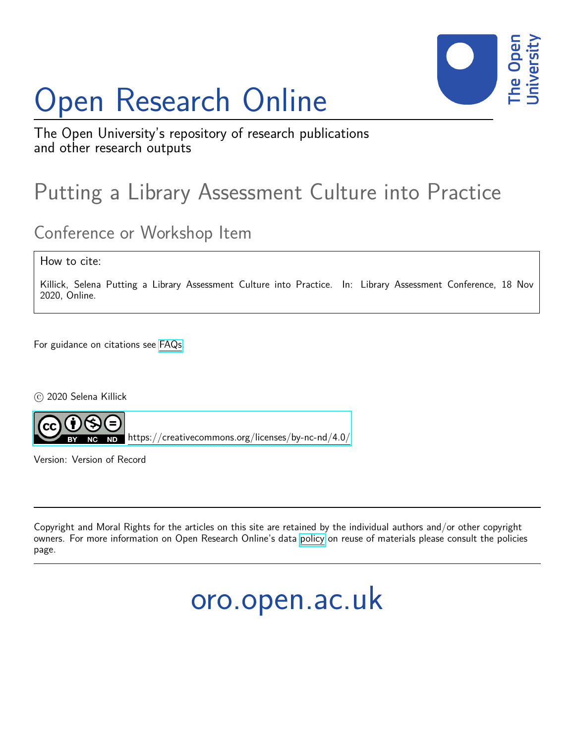## Open Research Online



The Open University's repository of research publications and other research outputs

## Putting a Library Assessment Culture into Practice

## Conference or Workshop Item

How to cite:

Killick, Selena Putting a Library Assessment Culture into Practice. In: Library Assessment Conference, 18 Nov 2020, Online.

For guidance on citations see [FAQs.](http://oro.open.ac.uk/help/helpfaq.html)

 $\circ$  2020 Selena Killick



<https://creativecommons.org/licenses/by-nc-nd/4.0/>

Version: Version of Record

Copyright and Moral Rights for the articles on this site are retained by the individual authors and/or other copyright owners. For more information on Open Research Online's data [policy](http://oro.open.ac.uk/policies.html) on reuse of materials please consult the policies page.

oro.open.ac.uk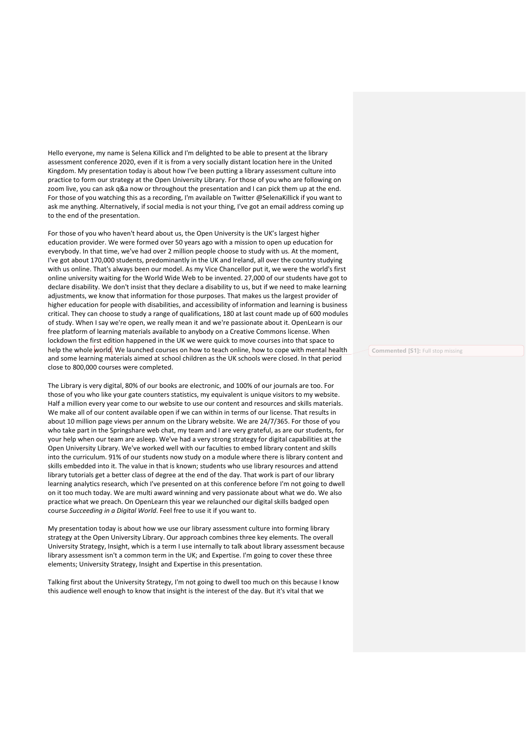Hello everyone, my name is Selena Killick and I'm delighted to be able to present at the library assessment conference 2020, even if it is from a very socially distant location here in the United Kingdom. My presentation today is about how I've been putting a library assessment culture into practice to form our strategy at the Open University Library. For those of you who are following on zoom live, you can ask q&a now or throughout the presentation and I can pick them up at the end. For those of you watching this as a recording, I'm available on Twitter @SelenaKillick if you want to ask me anything. Alternatively, if social media is not your thing, I've got an email address coming up to the end of the presentation.

For those of you who haven't heard about us, the Open University is the UK's largest higher education provider. We were formed over 50 years ago with a mission to open up education for everybody. In that time, we've had over 2 million people choose to study with us. At the moment, I've got about 170,000 students, predominantly in the UK and Ireland, all over the country studying with us online. That's always been our model. As my Vice Chancellor put it, we were the world's first online university waiting for the World Wide Web to be invented. 27,000 of our students have got to declare disability. We don't insist that they declare a disability to us, but if we need to make learning adjustments, we know that information for those purposes. That makes us the largest provider of higher education for people with disabilities, and accessibility of information and learning is business critical. They can choose to study a range of qualifications, 180 at last count made up of 600 modules of study. When I say we're open, we really mean it and we're passionate about it. OpenLearn is our free platform of learning materials available to anybody on a Creative Commons license. When lockdown the first edition happened in the UK we were quick to move courses into that space to help the whole world. We launched courses on how to teach online, how to cope with mental health and some learning materials aimed at school children as the UK schools were closed. In that period close to 800,000 courses were completed.

The Library is very digital, 80% of our books are electronic, and 100% of our journals are too. For those of you who like your gate counters statistics, my equivalent is unique visitors to my website. Half a million every year come to our website to use our content and resources and skills materials. We make all of our content available open if we can within in terms of our license. That results in about 10 million page views per annum on the Library website. We are 24/7/365. For those of you who take part in the Springshare web chat, my team and I are very grateful, as are our students, for your help when our team are asleep. We've had a very strong strategy for digital capabilities at the Open University Library. We've worked well with our faculties to embed library content and skills into the curriculum. 91% of our students now study on a module where there is library content and skills embedded into it. The value in that is known; students who use library resources and attend library tutorials get a better class of degree at the end of the day. That work is part of our library learning analytics research, which I've presented on at this conference before I'm not going to dwell on it too much today. We are multi award winning and very passionate about what we do. We also practice what we preach. On OpenLearn this year we relaunched our digital skills badged open course *Succeeding in a Digital World*. Feel free to use it if you want to.

My presentation today is about how we use our library assessment culture into forming library strategy at the Open University Library. Our approach combines three key elements. The overall University Strategy, Insight, which is a term I use internally to talk about library assessment because library assessment isn't a common term in the UK; and Expertise. I'm going to cover these three elements; University Strategy, Insight and Expertise in this presentation.

Talking first about the University Strategy, I'm not going to dwell too much on this because I know this audience well enough to know that insight is the interest of the day. But it's vital that we

**Commented [S1]:** Full stop missing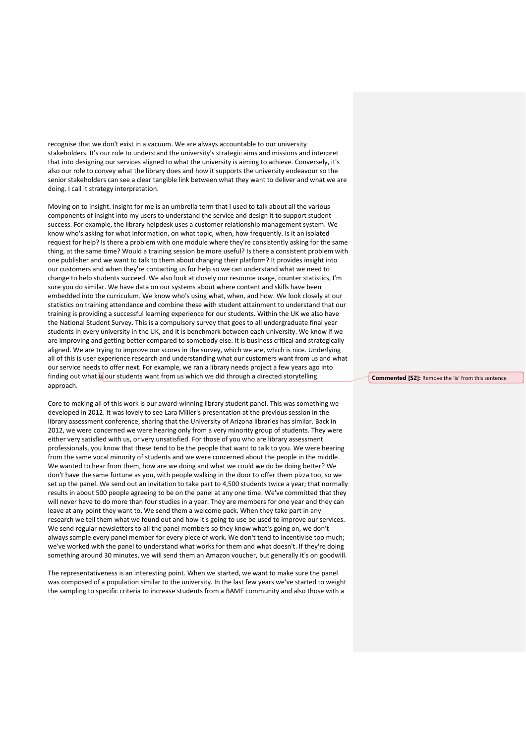recognise that we don't exist in a vacuum. We are always accountable to our university stakeholders. It's our role to understand the university's strategic aims and missions and interpret that into designing our services aligned to what the university is aiming to achieve. Conversely, it's also our role to convey what the library does and how it supports the university endeavour so the senior stakeholders can see a clear tangible link between what they want to deliver and what we are doing. I call it strategy interpretation.

Moving on to insight. Insight for me is an umbrella term that I used to talk about all the various components of insight into my users to understand the service and design it to support student success. For example, the library helpdesk uses a customer relationship management system. We know who's asking for what information, on what topic, when, how frequently. Is it an isolated request for help? Is there a problem with one module where they're consistently asking for the same thing, at the same time? Would a training session be more useful? Is there a consistent problem with one publisher and we want to talk to them about changing their platform? It provides insight into our customers and when they're contacting us for help so we can understand what we need to change to help students succeed. We also look at closely our resource usage, counter statistics, I'm sure you do similar. We have data on our systems about where content and skills have been embedded into the curriculum. We know who's using what, when, and how. We look closely at our statistics on training attendance and combine these with student attainment to understand that our training is providing a successful learning experience for our students. Within the UK we also have the National Student Survey. This is a compulsory survey that goes to all undergraduate final year students in every university in the UK, and it is benchmark between each university. We know if we are improving and getting better compared to somebody else. It is business critical and strategically aligned. We are trying to improve our scores in the survey, which we are, which is nice. Underlying all of this is user experience research and understanding what our customers want from us and what our service needs to offer next. For example, we ran a library needs project a few years ago into finding out what is our students want from us which we did through a directed storytelling approach.

Core to making all of this work is our award-winning library student panel. This was something we developed in 2012. It was lovely to see Lara Miller's presentation at the previous session in the library assessment conference, sharing that the University of Arizona libraries has similar. Back in 2012, we were concerned we were hearing only from a very minority group of students. They were either very satisfied with us, or very unsatisfied. For those of you who are library assessment professionals, you know that these tend to be the people that want to talk to you. We were hearing from the same vocal minority of students and we were concerned about the people in the middle. We wanted to hear from them, how are we doing and what we could we do be doing better? We don't have the same fortune as you, with people walking in the door to offer them pizza too, so we set up the panel. We send out an invitation to take part to 4,500 students twice a year; that normally results in about 500 people agreeing to be on the panel at any one time. We've committed that they will never have to do more than four studies in a year. They are members for one year and they can leave at any point they want to. We send them a welcome pack. When they take part in any research we tell them what we found out and how it's going to use be used to improve our services. We send regular newsletters to all the panel members so they know what's going on, we don't always sample every panel member for every piece of work. We don't tend to incentivise too much; we've worked with the panel to understand what works for them and what doesn't. If they're doing something around 30 minutes, we will send them an Amazon voucher, but generally it's on goodwill.

The representativeness is an interesting point. When we started, we want to make sure the panel was composed of a population similar to the university. In the last few years we've started to weight the sampling to specific criteria to increase students from a BAME community and also those with a

## **Commented [S2]:** Remove the 'is' from this sentence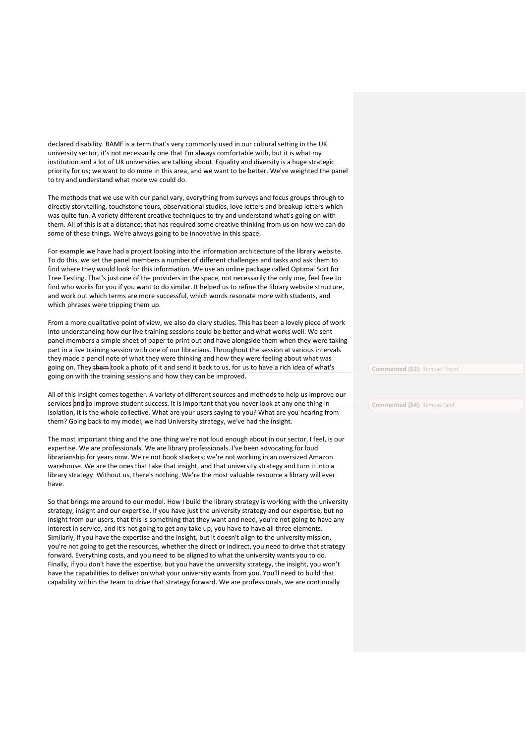declared disability. BAME is a term that's very commonly used in our cultural setting in the UK university sector, it's not necessarily one that I'm always comfortable with, but it is what my institution and a lot of UK universities are talking about. Equality and diversity is a huge strategic priority for us; we want to do more in this area, and we want to be better. We've weighted the panel to try and understand what more we could do.

The methods that we use with our panel vary, everything from surveys and focus groups through to directly storytelling, touchstone tours, observational studies, love letters and breakup letters which was quite fun. A variety different creative techniques to try and understand what's going on with them. All of this is at a distance; that has required some creative thinking from us on how we can do some of these things. We're always going to be innovative in this space.

For example we have had a project looking into the information architecture of the library website. To do this, we set the panel members a number of different challenges and tasks and ask them to find where they would look for this information. We use an online package called Optimal Sort for Tree Testing. That's just one of the providers in the space, not necessarily the only one, feel free to find who works for you if you want to do similar. It helped us to refine the library website structure, and work out which terms are more successful, which words resonate more with students, and which phrases were tripping them up.

From a more qualitative point of view, we also do diary studies. This has been a lovely piece of work into understanding how our live training sessions could be better and what works well. We sent panel members a simple sheet of paper to print out and have alongside them when they were taking part in a live training session with one of our librarians. Throughout the session at various intervals they made a pencil note of what they were thinking and how they were feeling about what was going on. They them took a photo of it and send it back to us, for us to have a rich idea of what's going on with the training sessions and how they can be improved.

All of this insight comes together. A variety of different sources and methods to help us improve our services and to improve student success. It is important that you never look at any one thing in isolation, it is the whole collective. What are your users saying to you? What are you hearing from them? Going back to my model, we had University strategy, we've had the insight.

The most important thing and the one thing we're not loud enough about in our sector, I feel, is our expertise. We are professionals. We are library professionals. I've been advocating for loud librarianship for years now. We're not book stackers; we're not working in an oversized Amazon warehouse. We are the ones that take that insight, and that university strategy and turn it into a library strategy. Without us, there's nothing. We're the most valuable resource a library will ever have.

So that brings me around to our model. How I build the library strategy is working with the university strategy, insight and our expertise. If you have just the university strategy and our expertise, but no insight from our users, that this is something that they want and need, you're not going to have any interest in service, and it's not going to get any take up, you have to have all three elements. Similarly, if you have the expertise and the insight, but it doesn't align to the university mission, you're not going to get the resources, whether the direct or indirect, you need to drive that strategy forward. Everything costs, and you need to be aligned to what the university wants you to do. Finally, if you don't have the expertise, but you have the university strategy, the insight, you won't have the capabilities to deliver on what your university wants from you. You'll need to build that capability within the team to drive that strategy forward. We are professionals, we are continually

**Commented [S3]:** Remove 'them'

**Commented [S4]:** Remove 'and'